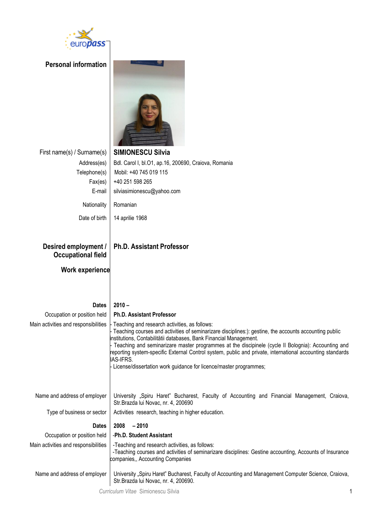

| <b>Personal information</b>                       |                                                                                                                                                                                                                                                                                                                                                                                                                                                                                                                                    |
|---------------------------------------------------|------------------------------------------------------------------------------------------------------------------------------------------------------------------------------------------------------------------------------------------------------------------------------------------------------------------------------------------------------------------------------------------------------------------------------------------------------------------------------------------------------------------------------------|
| First name(s) / Surname(s)                        | <b>SIMIONESCU Silvia</b>                                                                                                                                                                                                                                                                                                                                                                                                                                                                                                           |
| Address(es)                                       | Bdl. Carol I, bl.O1, ap.16, 200690, Craiova, Romania                                                                                                                                                                                                                                                                                                                                                                                                                                                                               |
| Telephone(s)                                      | Mobil: +40 745 019 115                                                                                                                                                                                                                                                                                                                                                                                                                                                                                                             |
| Fax(es)                                           | +40 251 598 265                                                                                                                                                                                                                                                                                                                                                                                                                                                                                                                    |
| E-mail                                            | silviasimionescu@yahoo.com                                                                                                                                                                                                                                                                                                                                                                                                                                                                                                         |
| Nationality                                       | Romanian                                                                                                                                                                                                                                                                                                                                                                                                                                                                                                                           |
| Date of birth                                     | 14 aprilie 1968                                                                                                                                                                                                                                                                                                                                                                                                                                                                                                                    |
| Desired employment /<br><b>Occupational field</b> | <b>Ph.D. Assistant Professor</b>                                                                                                                                                                                                                                                                                                                                                                                                                                                                                                   |
| <b>Work experience</b>                            |                                                                                                                                                                                                                                                                                                                                                                                                                                                                                                                                    |
| <b>Dates</b>                                      | $2010 -$                                                                                                                                                                                                                                                                                                                                                                                                                                                                                                                           |
| Occupation or position held                       | <b>Ph.D. Assistant Professor</b>                                                                                                                                                                                                                                                                                                                                                                                                                                                                                                   |
| Main activities and responsibilities              | Teaching and research activities, as follows:<br>Teaching courses and activities of seminarizare disciplines:): gestine, the accounts accounting public<br>Institutions, Contabilitătii databases, Bank Financial Management.<br>Teaching and seminarizare master programmes at the discipinele (cycle II Bolognia): Accounting and<br>reporting system-specific External Control system, public and private, international accounting standards<br>IAS-IFRS.<br>License/dissertation work guidance for licence/master programmes; |
| Name and address of employer                      | University "Spiru Haret" Bucharest, Faculty of Accounting and Financial Management, Craiova,<br>Str.Brazda lui Novac, nr. 4, 200690                                                                                                                                                                                                                                                                                                                                                                                                |
| Type of business or sector                        | Activities research, teaching in higher education.                                                                                                                                                                                                                                                                                                                                                                                                                                                                                 |
| <b>Dates</b>                                      | 2008<br>$-2010$                                                                                                                                                                                                                                                                                                                                                                                                                                                                                                                    |
| Occupation or position held                       | -Ph.D. Student Assistant                                                                                                                                                                                                                                                                                                                                                                                                                                                                                                           |
| Main activities and responsibilities              | -Teaching and research activities, as follows:<br>-Teaching courses and activities of seminarizare disciplines: Gestine accounting, Accounts of Insurance<br>companies,, Accounting Companies                                                                                                                                                                                                                                                                                                                                      |
| Name and address of employer                      | University "Spiru Haret" Bucharest, Faculty of Accounting and Management Computer Science, Craiova,<br>Str.Brazda lui Novac, nr. 4, 200690.                                                                                                                                                                                                                                                                                                                                                                                        |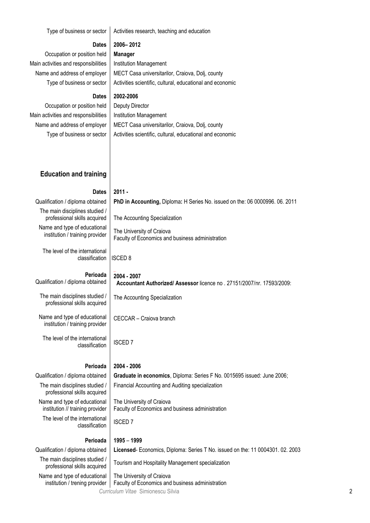| Type of business or sector                                       | Activities research, teaching and education                                                                   |  |
|------------------------------------------------------------------|---------------------------------------------------------------------------------------------------------------|--|
| <b>Dates</b>                                                     | 2006-2012                                                                                                     |  |
| Occupation or position held                                      | <b>Manager</b>                                                                                                |  |
| Main activities and responsibilities                             | Institution Management                                                                                        |  |
| Name and address of employer                                     | MECT Casa universitarilor, Craiova, Dolj, county                                                              |  |
| Type of business or sector                                       | Activities scientific, cultural, educational and economic                                                     |  |
| <b>Dates</b>                                                     | 2002-2006                                                                                                     |  |
| Occupation or position held                                      | Deputy Director                                                                                               |  |
|                                                                  |                                                                                                               |  |
| Main activities and responsibilities                             | Institution Management                                                                                        |  |
| Name and address of employer                                     | MECT Casa universitarilor, Craiova, Dolj, county<br>Activities scientific, cultural, educational and economic |  |
| Type of business or sector                                       |                                                                                                               |  |
|                                                                  |                                                                                                               |  |
|                                                                  |                                                                                                               |  |
| <b>Education and training</b>                                    |                                                                                                               |  |
|                                                                  |                                                                                                               |  |
| <b>Dates</b>                                                     | $2011 -$                                                                                                      |  |
| Qualification / diploma obtained                                 | PhD in Accounting, Diploma: H Series No. issued on the: 06 0000996. 06. 2011                                  |  |
| The main disciplines studied /<br>professional skills acquired   | The Accounting Specialization                                                                                 |  |
| Name and type of educational<br>institution / training provider  | The University of Craiova                                                                                     |  |
|                                                                  | Faculty of Economics and business administration                                                              |  |
| The level of the international<br>classification                 | <b>ISCED 8</b>                                                                                                |  |
|                                                                  |                                                                                                               |  |
| Perioada<br>Qualification / diploma obtained                     | 2004 - 2007                                                                                                   |  |
|                                                                  | Accountant Authorized/ Assessor licence no . 27151/2007/nr. 17593/2009:                                       |  |
| The main disciplines studied /<br>professional skills acquired   | The Accounting Specialization                                                                                 |  |
|                                                                  |                                                                                                               |  |
| Name and type of educational<br>institution / training provider  | CECCAR - Craiova branch                                                                                       |  |
|                                                                  |                                                                                                               |  |
| The level of the international<br>classification                 | <b>ISCED7</b>                                                                                                 |  |
|                                                                  |                                                                                                               |  |
| Perioada                                                         | 2004 - 2006                                                                                                   |  |
| Qualification / diploma obtained                                 | Graduate in economics, Diploma: Series F No. 0015695 issued: June 2006;                                       |  |
| The main disciplines studied /<br>professional skills acquired   | Financial Accounting and Auditing specialization                                                              |  |
| Name and type of educational<br>institution // training provider | The University of Craiova<br>Faculty of Economics and business administration                                 |  |
| The level of the international                                   | <b>ISCED7</b>                                                                                                 |  |
| classification                                                   |                                                                                                               |  |
| Perioada                                                         | $1995 - 1999$                                                                                                 |  |
| Qualification / diploma obtained                                 | Licensed-Economics, Diploma: Series T No. issued on the: 11 0004301. 02. 2003                                 |  |
| The main disciplines studied /<br>professional skills acquired   | Tourism and Hospitality Management specialization                                                             |  |
| Name and type of educational<br>institution / trening provider   | The University of Craiova<br>Faculty of Economics and business administration                                 |  |
|                                                                  | Curriculum Vitae Simionescu Silvia                                                                            |  |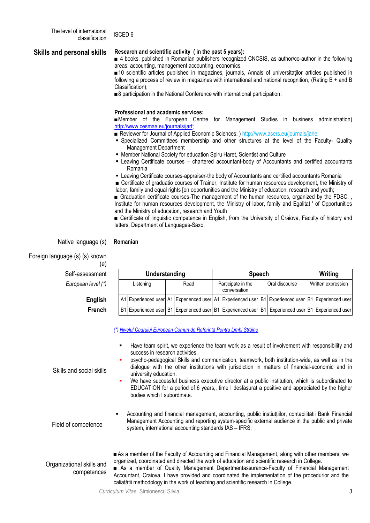| The level of international<br>classification | <b>ISCED 6</b>                                                                                                                                                                                                                                                                                                                                                                                                                                                                                                                                                                                                                                                                                                                                                                                                                                                                                                                                                                                                                                                                                                                                                                                                                                                                                                                                |                                                                                                                                                                                                                                                                                                                                                                                                                                                                                                             |  |                                    |  |                |  |                                      |
|----------------------------------------------|-----------------------------------------------------------------------------------------------------------------------------------------------------------------------------------------------------------------------------------------------------------------------------------------------------------------------------------------------------------------------------------------------------------------------------------------------------------------------------------------------------------------------------------------------------------------------------------------------------------------------------------------------------------------------------------------------------------------------------------------------------------------------------------------------------------------------------------------------------------------------------------------------------------------------------------------------------------------------------------------------------------------------------------------------------------------------------------------------------------------------------------------------------------------------------------------------------------------------------------------------------------------------------------------------------------------------------------------------|-------------------------------------------------------------------------------------------------------------------------------------------------------------------------------------------------------------------------------------------------------------------------------------------------------------------------------------------------------------------------------------------------------------------------------------------------------------------------------------------------------------|--|------------------------------------|--|----------------|--|--------------------------------------|
| <b>Skills and personal skills</b>            | Research and scientific activity (in the past 5 years):<br>4 books, published in Romanian publishers recognized CNCSIS, as author/co-author in the following<br>areas: accounting, management accounting, economics.<br>■10 scientific articles published in magazines, journals, Annals of universitatilor articles published in<br>following a process of review in magazines with international and national recognition, (Rating B + and B<br>Classification);<br>■ 8 participation in the National Conference with international participation;                                                                                                                                                                                                                                                                                                                                                                                                                                                                                                                                                                                                                                                                                                                                                                                          |                                                                                                                                                                                                                                                                                                                                                                                                                                                                                                             |  |                                    |  |                |  |                                      |
|                                              | Professional and academic services:<br><b>Member</b> of the European Centre for Management Studies in business administration)<br>http://www.cesmaa.eu/journals/jarf;<br>Reviewer for Journal of Applied Economic Sciences; ) http://www.asers.eu/journals/jarle;<br>" Specialized Committees membership and other structures at the level of the Faculty- Quality<br>Management Department<br>• Member National Society for education Spiru Haret, Scientist and Culture<br>- Leaving Certificate courses - chartered accountant-body of Accountants and certified accountants<br>Romania<br>" Leaving Certificate courses-appraiser-the body of Accountants and certified accountants Romania<br>■ Certificate of graduatio courses of Trainer, Institute for human resources development, the Ministry of<br>labor, family and equal rights [on opportunities and the Ministry of education, research and youth;<br>■ Graduation certificate courses-The management of the human resources, organized by the FDSC;<br>Institute for human resources development, the Ministry of labor, family and Egalitat ' of Opportunities<br>and the Ministry of education, research and Youth<br>■ Certificate of linguistic competence in English, from the University of Craiova, Faculty of history and<br>letters, Department of Languages-Saxo. |                                                                                                                                                                                                                                                                                                                                                                                                                                                                                                             |  |                                    |  |                |  |                                      |
| Native language (s)                          | Romanian                                                                                                                                                                                                                                                                                                                                                                                                                                                                                                                                                                                                                                                                                                                                                                                                                                                                                                                                                                                                                                                                                                                                                                                                                                                                                                                                      |                                                                                                                                                                                                                                                                                                                                                                                                                                                                                                             |  |                                    |  |                |  |                                      |
| Foreign language (s) (s) known               |                                                                                                                                                                                                                                                                                                                                                                                                                                                                                                                                                                                                                                                                                                                                                                                                                                                                                                                                                                                                                                                                                                                                                                                                                                                                                                                                               |                                                                                                                                                                                                                                                                                                                                                                                                                                                                                                             |  |                                    |  |                |  |                                      |
| (e)                                          |                                                                                                                                                                                                                                                                                                                                                                                                                                                                                                                                                                                                                                                                                                                                                                                                                                                                                                                                                                                                                                                                                                                                                                                                                                                                                                                                               |                                                                                                                                                                                                                                                                                                                                                                                                                                                                                                             |  |                                    |  |                |  |                                      |
| Self-assessment                              |                                                                                                                                                                                                                                                                                                                                                                                                                                                                                                                                                                                                                                                                                                                                                                                                                                                                                                                                                                                                                                                                                                                                                                                                                                                                                                                                               | Understanding                                                                                                                                                                                                                                                                                                                                                                                                                                                                                               |  | Speech                             |  |                |  | Writing                              |
| European level (*)                           | Listening                                                                                                                                                                                                                                                                                                                                                                                                                                                                                                                                                                                                                                                                                                                                                                                                                                                                                                                                                                                                                                                                                                                                                                                                                                                                                                                                     | Read                                                                                                                                                                                                                                                                                                                                                                                                                                                                                                        |  | Participate in the<br>conversation |  | Oral discourse |  | Written expression                   |
| <b>English</b>                               |                                                                                                                                                                                                                                                                                                                                                                                                                                                                                                                                                                                                                                                                                                                                                                                                                                                                                                                                                                                                                                                                                                                                                                                                                                                                                                                                               | A1 Experienced user A1 Experienced user A1 Experienced user B1 Experienced user B1 Experienced user                                                                                                                                                                                                                                                                                                                                                                                                         |  |                                    |  |                |  |                                      |
| <b>French</b>                                |                                                                                                                                                                                                                                                                                                                                                                                                                                                                                                                                                                                                                                                                                                                                                                                                                                                                                                                                                                                                                                                                                                                                                                                                                                                                                                                                               | B1 Experienced user B1 Experienced user B1 Experienced user B1                                                                                                                                                                                                                                                                                                                                                                                                                                              |  |                                    |  |                |  | Experienced user B1 Experienced user |
| Skills and social skills                     | (*) Nivelul Cadrului European Comun de Referință Pentru Limbi Străine<br>success in research activities.<br>university education.<br>٠<br>bodies which I subordinate.                                                                                                                                                                                                                                                                                                                                                                                                                                                                                                                                                                                                                                                                                                                                                                                                                                                                                                                                                                                                                                                                                                                                                                         | Have team spirit, we experience the team work as a result of involvement with responsibility and<br>psycho-pedagogical Skills and communication, teamwork, both institution-wide, as well as in the<br>dialogue with the other institutions with jurisdiction in matters of financial-economic and in<br>We have successful business executive director at a public institution, which is subordinated to<br>EDUCATION for a period of 6 years,, time I desfasurat a positive and appreciated by the higher |  |                                    |  |                |  |                                      |
| Field of competence                          |                                                                                                                                                                                                                                                                                                                                                                                                                                                                                                                                                                                                                                                                                                                                                                                                                                                                                                                                                                                                                                                                                                                                                                                                                                                                                                                                               | Accounting and financial management, accounting, public instiuttiilor, contabilitătii Bank Financial<br>Management Accounting and reporting system-specific external audience in the public and private<br>system, international accounting standards IAS - IFRS;                                                                                                                                                                                                                                           |  |                                    |  |                |  |                                      |
| Organizational skills and<br>competences     | As a member of the Faculty of Accounting and Financial Management, along with other members, we<br>organized, coordinated and directed the work of education and scientific research in College.<br>As a member of Quality Management Departmentassurance-Faculty of Financial Management<br>Accountant, Craiova, I have provided and coordinated the implementation of the procedurior and the<br>caliatății methodology in the work of teaching and scientific research in College.                                                                                                                                                                                                                                                                                                                                                                                                                                                                                                                                                                                                                                                                                                                                                                                                                                                         |                                                                                                                                                                                                                                                                                                                                                                                                                                                                                                             |  |                                    |  |                |  |                                      |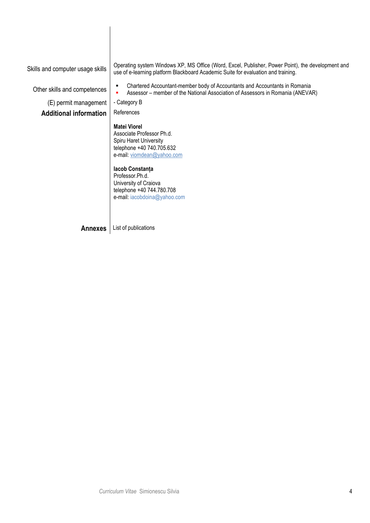Skills and computer usage skills Operating system Windows XP, MS Office (Word, Excel, Publisher, Power Point), the development and use of e-learning platform Blackboard Academic Suite for evaluation and training.

Other skills and competences **Chartered Accountant-member body of Accountants and Accountants in Romania** Assessor – member of the National Association of Assessors in Romania (ANEVAR)

 $(E)$  permit management  $\vert$  - Category B

**Additional information** References

### **Matei Viorel**

Associate Professor Ph.d. Spiru Haret University telephone +40 740.705.632 e-mail: viomdean@yahoo.com

#### **Iacob Constanța**

Professor.Ph.d. University of Craiova telephone +40 744.780.708 e-mail: iacobdoina@yahoo.com

**Annexes** List of publications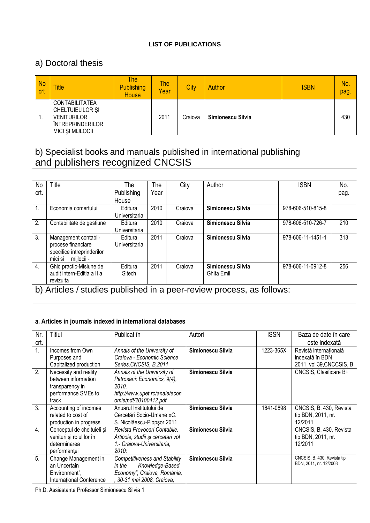#### **LIST OF PUBLICATIONS**

## a) Doctoral thesis

| <b>No</b><br><b>crt</b> | <b>Title</b>                                                                                                          | The<br><b>Publishing</b><br><b>House</b> | The<br>Year | City    | Author            | <b>ISBN</b> | No.<br>pag. |
|-------------------------|-----------------------------------------------------------------------------------------------------------------------|------------------------------------------|-------------|---------|-------------------|-------------|-------------|
|                         | <b>CONTABILITATEA</b><br>CHELTUIELILOR ȘI<br><b>VENITURILOR</b><br><b>ÎNTREPRINDERILOR</b><br><b>MICI ȘI MIJLOCII</b> |                                          | 2011        | Craiova | Simionescu Silvia |             | 430         |

# b) Specialist books and manuals published in international publishing and publishers recognized CNCSIS

| No             | Title                      | The           | The  | City    | Author            | <b>ISBN</b>       | No.  |
|----------------|----------------------------|---------------|------|---------|-------------------|-------------------|------|
| crt.           |                            | Publishing    | Year |         |                   |                   | pag. |
|                |                            | House         |      |         |                   |                   |      |
| $\mathbf{1}$ . | Economia comertului        | Editura       | 2010 | Craiova | Simionescu Silvia | 978-606-510-815-8 |      |
|                |                            | Universitaria |      |         |                   |                   |      |
| 2.             | Contabilitate de gestiune  | Editura       | 2010 | Craiova | Simionescu Silvia | 978-606-510-726-7 | 210  |
|                |                            | Universitaria |      |         |                   |                   |      |
| 3.             | Management contabil-       | Editura       | 2011 | Craiova | Simionescu Silvia | 978-606-11-1451-1 | 313  |
|                | procese financiare         | Universitaria |      |         |                   |                   |      |
|                | specifice intreprinderilor |               |      |         |                   |                   |      |
|                | mijlocii -<br>mici si      |               |      |         |                   |                   |      |
| 4.             | Ghid practic-Misiune de    | Editura       | 2011 | Craiova | Simionescu Silvia | 978-606-11-0912-8 | 256  |
|                | audit intern-Editia a II a | Sitech        |      |         | Ghita Emil        |                   |      |
|                | revizuita                  |               |      |         |                   |                   |      |

b) Articles / studies published in a peer-review process, as follows:

|                  | a. Articles in journals indexed in international databases                                      |                                                                                                                                |                   |             |                                                                       |  |  |  |  |
|------------------|-------------------------------------------------------------------------------------------------|--------------------------------------------------------------------------------------------------------------------------------|-------------------|-------------|-----------------------------------------------------------------------|--|--|--|--|
| Nr.<br>crt.      | Titlul                                                                                          | Publicat în                                                                                                                    | Autori            | <b>ISSN</b> | Baza de date în care<br>este indexată                                 |  |  |  |  |
| $\overline{1}$ . | Incomes from Own<br>Purposes and<br>Capitalized production                                      | Annals of the University of<br>Craiova - Economic Science<br>Series, CNCSIS, B, 2011                                           | Simionescu Silvia | 1223-365X   | Revistă internațională<br>indexată în BDN<br>2011, vol 39, CNCCSIS, B |  |  |  |  |
| 2.               | Necessity and reality<br>between information<br>transparency in<br>performance SMEs to<br>track | Annals of the University of<br>Petrosani: Economics, 9(4),<br>2010.<br>http://www.upet.ro/anale/econ<br>omie/pdf/20100412.pdf  | Simionescu Silvia |             | CNCSIS, Clasificare B+                                                |  |  |  |  |
| $\overline{3}$ . | Accounting of incomes<br>related to cost of<br>production in progress                           | Anuarul Institutului de<br>Cercetări Socio-Umane «C.<br>S. Nicolăescu-Plopsor, 2011                                            | Simionescu Silvia | 1841-0898   | CNCSIS, B, 430, Revista<br>tip BDN, 2011, nr.<br>12/2011              |  |  |  |  |
| $\overline{4}$ . | Conceptul de cheltuieli și<br>venituri și rolul lor în<br>determinarea<br>performantei          | Revista Provocari Contabile.<br>Articole, studii și cercetari vol<br>1.- Craiova-Universitaria,<br>2010;                       | Simionescu Silvia |             | CNCSIS, B, 430, Revista<br>tip BDN, 2011, nr.<br>12/2011              |  |  |  |  |
| 5.               | Change Management in<br>an Uncertain<br>Environment",<br>International Conference               | <b>Competitiveness and Stability</b><br>Knowledge-Based<br>in the<br>Economy", Craiova, România,<br>, 30-31 mai 2008, Craiova, | Simionescu Silvia |             | CNCSIS, B, 430, Revista tip<br>BDN, 2011, nr. 12/2008                 |  |  |  |  |

Ph.D. Assiastante Professor Simionescu Silvia 1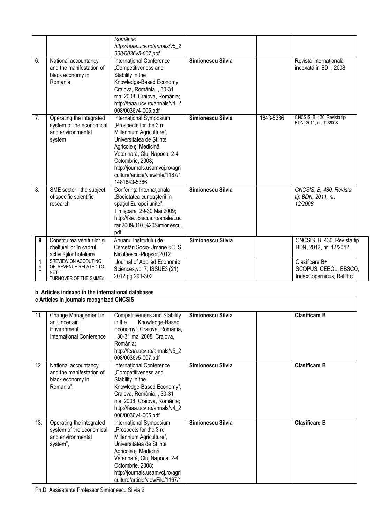|                   |                                                                                                | România;<br>http://feaa.ucv.ro/annals/v5_2<br>008/0036v5-007.pdf                                                                                                                                                                                                             |                   |           |                                                                   |
|-------------------|------------------------------------------------------------------------------------------------|------------------------------------------------------------------------------------------------------------------------------------------------------------------------------------------------------------------------------------------------------------------------------|-------------------|-----------|-------------------------------------------------------------------|
| 6.                | National accountancy<br>and the manifestation of<br>black economy in<br>Romania                | International Conference<br>"Competitiveness and<br>Stability in the<br>Knowledge-Based Economy<br>Craiova, România, , 30-31<br>mai 2008, Craiova, România;<br>http://feaa.ucv.ro/annals/v4_2<br>008/0036v4-005.pdf                                                          | Simionescu Silvia |           | Revistă internațională<br>indexată în BDI, 2008                   |
| 7.                | Operating the integrated<br>system of the economical<br>and environmental<br>system            | International Symposium<br>"Prospects for the 3 rd<br>Millennium Agriculture",<br>Universitatea de Stiinte<br>Agricole și Medicină<br>Veterinară, Cluj Napoca, 2-4<br>Octombrie, 2008;<br>http://journals.usamvcj.ro/agri<br>culture/article/viewFile/1167/1<br>1481843-5386 | Simionescu Silvia | 1843-5386 | CNCSIS, B, 430, Revista tip<br>BDN, 2011, nr. 12/2008             |
| 8.                | SME sector - the subject<br>of specific scientific<br>research                                 | Conferința Internațională<br>"Societatea cunoașterii în<br>spațiul Europei unite",<br>Timişoara 29-30 Mai 2009;<br>http://fse.tibiscus.ro/anale/Luc<br>rari2009/010.%20Simionescu.<br>pdf                                                                                    | Simionescu Silvia |           | CNCSIS, B, 430, Revista<br>tip BDN, 2011, nr.<br>12/2008          |
| 9                 | Constituirea veniturilor și<br>cheltuielilor în cadrul<br>activităților hoteliere              | Anuarul Institutului de<br>Cercetări Socio-Umane «C. S.<br>Nicolăescu-Plopşor, 2012                                                                                                                                                                                          | Simionescu Silvia |           | CNCSIS, B, 430, Revista tip<br>BDN, 2012, nr. 12/2012             |
| 1<br>$\mathbf{0}$ | SREVIEW ON ACCOUTING<br>OF REVENUE RELATED TO<br><b>NET</b><br>TURNOVER OF THE SMMEs           | Journal of Applied Economic<br>Sciences, vol 7, ISSUE3 (21)<br>2012 pg 291-302                                                                                                                                                                                               |                   |           | Clasificare B+<br>SCOPUS, CEEOL, EBSCO,<br>IndexCopernicus, RePEc |
|                   | b. Articles indexed in the international databases<br>c Articles in journals recognized CNCSIS |                                                                                                                                                                                                                                                                              |                   |           |                                                                   |
| 11.               | Change Management in<br>an Uncertain<br>Environment",<br>International Conference              | <b>Competitiveness and Stability</b><br>Knowledge-Based<br>in the<br>Economy", Craiova, România,<br>, 30-31 mai 2008, Craiova,<br>România;<br>http://feaa.ucv.ro/annals/v5_2<br>008/0036v5-007.pdf                                                                           | Simionescu Silvia |           | <b>Clasificare B</b>                                              |
| 12.               | National accountancy<br>and the manifestation of<br>black economy in<br>Romania",              | International Conference<br>"Competitiveness and<br>Stability in the<br>Knowledge-Based Economy",<br>Craiova, România, , 30-31<br>mai 2008, Craiova, România;<br>http://feaa.ucv.ro/annals/v4_2<br>008/0036v4-005.pdf                                                        | Simionescu Silvia |           | <b>Clasificare B</b>                                              |
| 13.               | Operating the integrated<br>system of the economical<br>and environmental<br>system",          | International Symposium<br>"Prospects for the 3 rd<br>Millennium Agriculture",<br>Universitatea de Stiinte<br>Agricole și Medicină<br>Veterinară, Cluj Napoca, 2-4<br>Octombrie, 2008;<br>http://journals.usamvcj.ro/agri<br>culture/article/viewFile/1167/1                 | Simionescu Silvia |           | <b>Clasificare B</b>                                              |